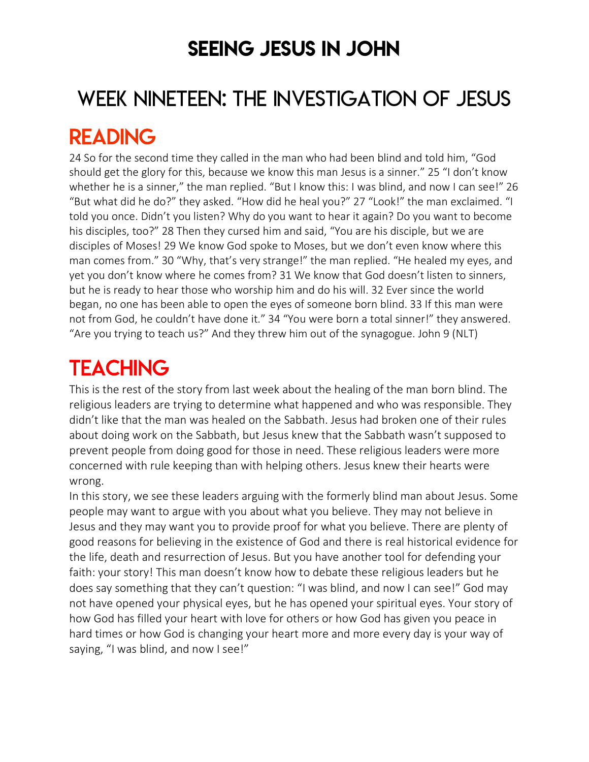### SEEING JESUS IN JOHN

# WEEK NINETEEN: THE INVESTIGATION OF JESUS

### READING

24 So for the second time they called in the man who had been blind and told him, "God should get the glory for this, because we know this man Jesus is a sinner." 25 "I don't know whether he is a sinner," the man replied. "But I know this: I was blind, and now I can see!" 26 "But what did he do?" they asked. "How did he heal you?" 27 "Look!" the man exclaimed. "I told you once. Didn't you listen? Why do you want to hear it again? Do you want to become his disciples, too?" 28 Then they cursed him and said, "You are his disciple, but we are disciples of Moses! 29 We know God spoke to Moses, but we don't even know where this man comes from." 30 "Why, that's very strange!" the man replied. "He healed my eyes, and yet you don't know where he comes from? 31 We know that God doesn't listen to sinners, but he is ready to hear those who worship him and do his will. 32 Ever since the world began, no one has been able to open the eyes of someone born blind. 33 If this man were not from God, he couldn't have done it." 34 "You were born a total sinner!" they answered. "Are you trying to teach us?" And they threw him out of the synagogue. John 9 (NLT)

# **TEACHING**

This is the rest of the story from last week about the healing of the man born blind. The religious leaders are trying to determine what happened and who was responsible. They didn't like that the man was healed on the Sabbath. Jesus had broken one of their rules about doing work on the Sabbath, but Jesus knew that the Sabbath wasn't supposed to prevent people from doing good for those in need. These religious leaders were more concerned with rule keeping than with helping others. Jesus knew their hearts were wrong.

In this story, we see these leaders arguing with the formerly blind man about Jesus. Some people may want to argue with you about what you believe. They may not believe in Jesus and they may want you to provide proof for what you believe. There are plenty of good reasons for believing in the existence of God and there is real historical evidence for the life, death and resurrection of Jesus. But you have another tool for defending your faith: your story! This man doesn't know how to debate these religious leaders but he does say something that they can't question: "I was blind, and now I can see!" God may not have opened your physical eyes, but he has opened your spiritual eyes. Your story of how God has filled your heart with love for others or how God has given you peace in hard times or how God is changing your heart more and more every day is your way of saying, "I was blind, and now I see!"